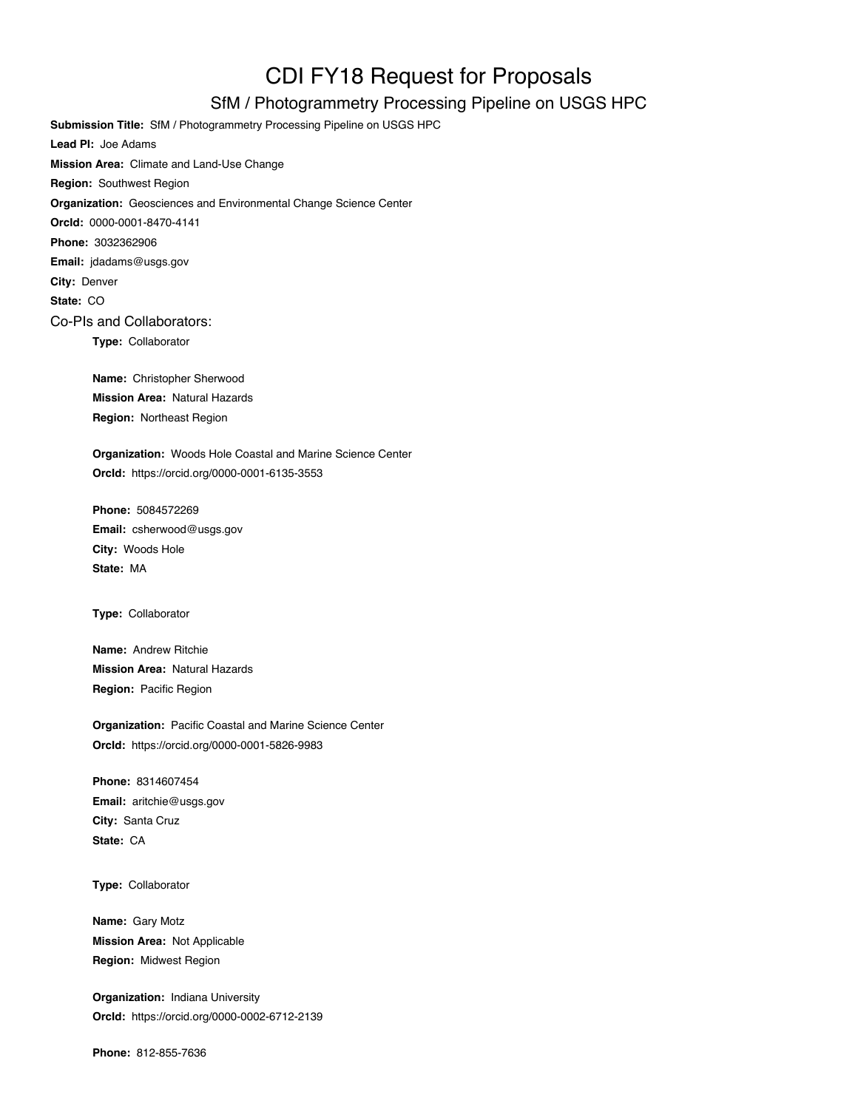## CDI FY18 Request for Proposals

## SfM / Photogrammetry Processing Pipeline on USGS HPC

**Submission Title:** SfM / Photogrammetry Processing Pipeline on USGS HPC **Lead PI:** Joe Adams **Mission Area:** Climate and Land-Use Change **Region:** Southwest Region **Organization:** Geosciences and Environmental Change Science Center **OrcId:** 0000-0001-8470-4141 **Phone:** 3032362906 **Email:** jdadams@usgs.gov **City:** Denver **State:** CO Co-PIs and Collaborators: **Type:** Collaborator **Name:** Christopher Sherwood

**Mission Area:** Natural Hazards **Region:** Northeast Region

**Organization:** Woods Hole Coastal and Marine Science Center **OrcId:** https://orcid.org/0000-0001-6135-3553

**Phone:** 5084572269 **Email:** csherwood@usgs.gov **City:** Woods Hole **State:** MA

**Type:** Collaborator

**Name:** Andrew Ritchie **Mission Area:** Natural Hazards **Region:** Pacific Region

**Organization:** Pacific Coastal and Marine Science Center **OrcId:** https://orcid.org/0000-0001-5826-9983

**Phone:** 8314607454 **Email:** aritchie@usgs.gov **City:** Santa Cruz **State:** CA

**Type:** Collaborator

**Name:** Gary Motz **Mission Area:** Not Applicable **Region:** Midwest Region

**Organization:** Indiana University **OrcId:** https://orcid.org/0000-0002-6712-2139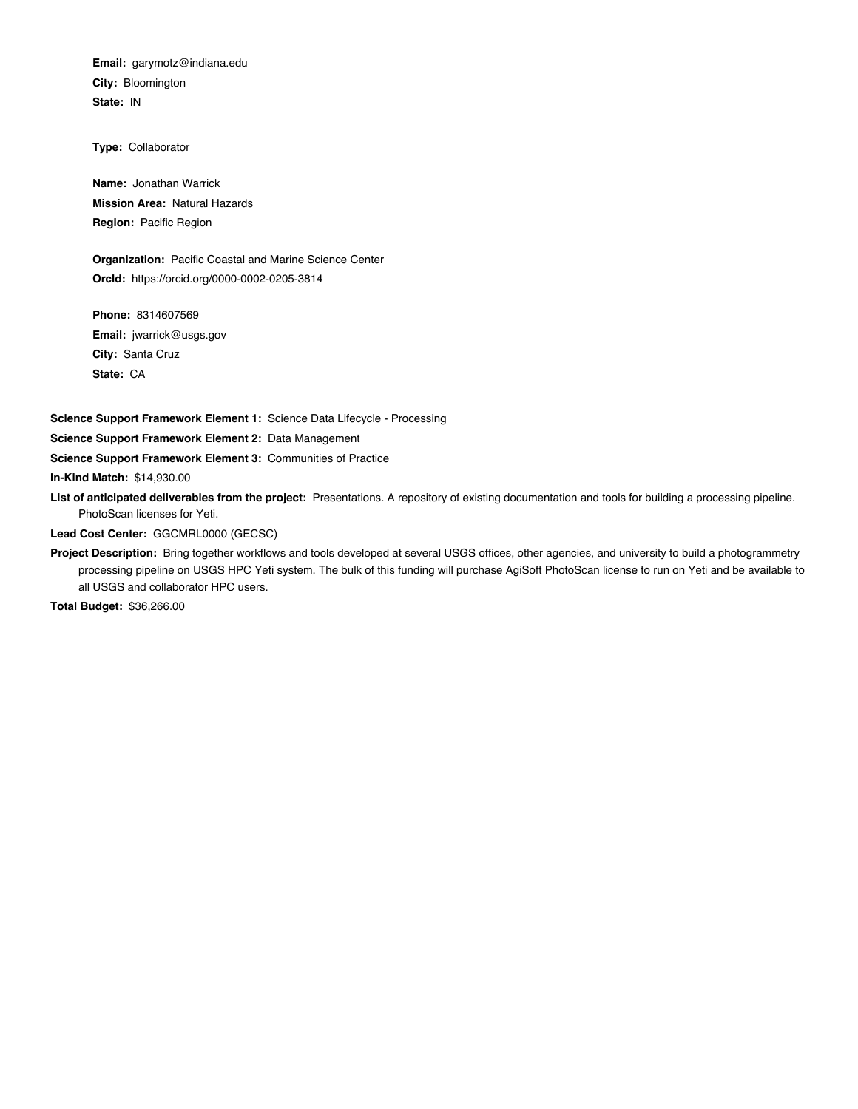**Email:** garymotz@indiana.edu **City:** Bloomington **State:** IN

**Type:** Collaborator

**Name:** Jonathan Warrick **Mission Area:** Natural Hazards **Region:** Pacific Region

**Organization:** Pacific Coastal and Marine Science Center **OrcId:** https://orcid.org/0000-0002-0205-3814

**Phone:** 8314607569 **Email:** jwarrick@usgs.gov **City:** Santa Cruz **State:** CA

**Science Support Framework Element 1:** Science Data Lifecycle - Processing

**Science Support Framework Element 2:** Data Management

**Science Support Framework Element 3:** Communities of Practice

**In-Kind Match:** \$14,930.00

**List of anticipated deliverables from the project:** Presentations. A repository of existing documentation and tools for building a processing pipeline. PhotoScan licenses for Yeti.

**Lead Cost Center:** GGCMRL0000 (GECSC)

**Project Description:** Bring together workflows and tools developed at several USGS offices, other agencies, and university to build a photogrammetry processing pipeline on USGS HPC Yeti system. The bulk of this funding will purchase AgiSoft PhotoScan license to run on Yeti and be available to all USGS and collaborator HPC users.

**Total Budget:** \$36,266.00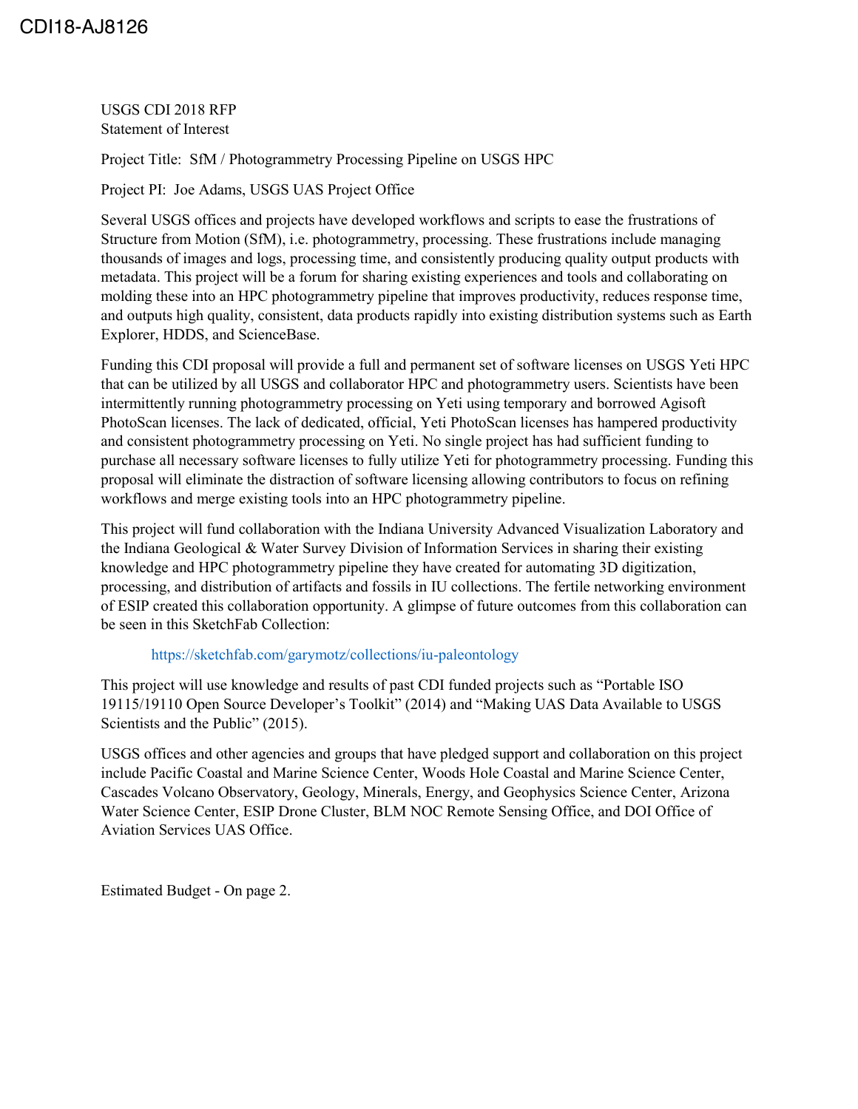USGS CDI 2018 RFP Statement of Interest

Project Title: SfM / Photogrammetry Processing Pipeline on USGS HPC

Project PI: Joe Adams, USGS UAS Project Office

Several USGS offices and projects have developed workflows and scripts to ease the frustrations of Structure from Motion (SfM), i.e. photogrammetry, processing. These frustrations include managing thousands of images and logs, processing time, and consistently producing quality output products with metadata. This project will be a forum for sharing existing experiences and tools and collaborating on molding these into an HPC photogrammetry pipeline that improves productivity, reduces response time, and outputs high quality, consistent, data products rapidly into existing distribution systems such as Earth Explorer, HDDS, and ScienceBase.

Funding this CDI proposal will provide a full and permanent set of software licenses on USGS Yeti HPC that can be utilized by all USGS and collaborator HPC and photogrammetry users. Scientists have been intermittently running photogrammetry processing on Yeti using temporary and borrowed Agisoft PhotoScan licenses. The lack of dedicated, official, Yeti PhotoScan licenses has hampered productivity and consistent photogrammetry processing on Yeti. No single project has had sufficient funding to purchase all necessary software licenses to fully utilize Yeti for photogrammetry processing. Funding this proposal will eliminate the distraction of software licensing allowing contributors to focus on refining workflows and merge existing tools into an HPC photogrammetry pipeline.

This project will fund collaboration with the Indiana University Advanced Visualization Laboratory and the Indiana Geological & Water Survey Division of Information Services in sharing their existing knowledge and HPC photogrammetry pipeline they have created for automating 3D digitization, processing, and distribution of artifacts and fossils in IU collections. The fertile networking environment of ESIP created this collaboration opportunity. A glimpse of future outcomes from this collaboration can be seen in this SketchFab Collection:

## <https://sketchfab.com/garymotz/collections/iu-paleontology>

This project will use knowledge and results of past CDI funded projects such as "Portable ISO 19115/19110 Open Source Developer's Toolkit" (2014) and "Making UAS Data Available to USGS Scientists and the Public" (2015).

USGS offices and other agencies and groups that have pledged support and collaboration on this project include Pacific Coastal and Marine Science Center, Woods Hole Coastal and Marine Science Center, Cascades Volcano Observatory, Geology, Minerals, Energy, and Geophysics Science Center, Arizona Water Science Center, ESIP Drone Cluster, BLM NOC Remote Sensing Office, and DOI Office of Aviation Services UAS Office.

Estimated Budget - On page 2.